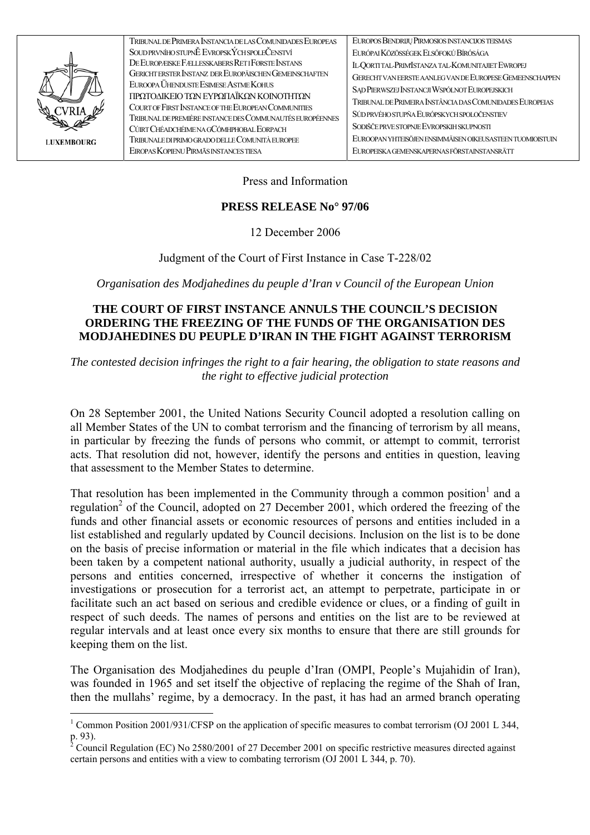

| TRIBUNAL DE PRIMERA INSTANCIA DE LAS COMUNIDADES EUROPEAS | EUROPOS BENDRIJŲ PIRMOSIOS INSTANCIJOS TEISMAS            |
|-----------------------------------------------------------|-----------------------------------------------------------|
| SOUD PRVNÍHO STUPNĚ EVROPSKÝCH SPOLEČENSTVÍ               | EURÓPAI KÖZÖSSÉGEK ELSŐFOKÚ BÍRÓSÁGA                      |
| DE EUROPÆISKE FÆLLESSKABERS RET I FØRSTE INSTANS          | IL-OORTITAL-PRIMISTANZA TAL-KOMUNITAJIET EWROPEJ          |
| GERICHT ERSTER INSTANZ DER EUROPÄISCHEN GEMEINSCHAFTEN    | GERECHT VAN EERSTE AANLEG VAN DE EUROPESE GEMEENSCHAPPEN  |
| EUROOPA ÜHENDUSTE ESIMESE ASTME KOHUS                     | SAD PIERWSZEJ INSTANCJI WSPÓLNOT EUROPEJSKICH             |
| ΠΡΩΤΟΔΙΚΕΙΟ ΤΩΝ ΕΥΡΩΠΑΪΚΩΝ ΚΟΙΝΟΤΗΤΩΝ                     | TRIBUNAL DE PRIMEIRA INSTÂNCIA DAS COMUNIDADES EUROPEIAS  |
| COURT OF FIRST INSTANCE OF THE EUROPEAN COMMUNITIES       | SÚD PRVÉHO STUPŇA EURÓPSKYCH SPOLOČENSTIEV                |
| TRIBUNAL DE PREMIÈRE INSTANCE DES COMMUNAUTÉS EUROPÉENNES |                                                           |
| CÚIRT CHÉADCHÉIME NA GCÓMHPHOBAL EORPACH                  | SODIŠČE PRVE STOPNJE EVROPSKIH SKUPNOSTI                  |
| TRIBUNALE DI PRIMO GRADO DELLE COMUNITÀ EUROPEE           | EUROOPAN YHTEISÖJEN ENSIMMÄISEN OIKEUSASTEEN TUOMIOISTUIN |
| EIROPAS KOPIENU PIRMĀS INSTANCES TIESA                    | EUROPEISKA GEMENSKAPERNAS FÖRSTAINSTANSRÄTT               |
|                                                           |                                                           |

Press and Information

## **PRESS RELEASE No° 97/06**

12 December 2006

Judgment of the Court of First Instance in Case T-228/02

Organisation des Modjahedines du peuple d'Iran v Council of the European Union

## THE COURT OF FIRST INSTANCE ANNULS THE COUNCIL'S DECISION ORDERING THE FREEZING OF THE FUNDS OF THE ORGANISATION DES **MODJAHEDINES DU PEUPLE D'IRAN IN THE FIGHT AGAINST TERRORISM**

The contested decision infringes the right to a fair hearing, the obligation to state reasons and the right to effective judicial protection

On 28 September 2001, the United Nations Security Council adopted a resolution calling on all Member States of the UN to combat terrorism and the financing of terrorism by all means, in particular by freezing the funds of persons who commit, or attempt to commit, terrorist acts. That resolution did not, however, identify the persons and entities in question, leaving that assessment to the Member States to determine.

That resolution has been implemented in the Community through a common position<sup>1</sup> and a regulation<sup>2</sup> of the Council, adopted on 27 December 2001, which ordered the freezing of the funds and other financial assets or economic resources of persons and entities included in a list established and regularly updated by Council decisions. Inclusion on the list is to be done on the basis of precise information or material in the file which indicates that a decision has been taken by a competent national authority, usually a judicial authority, in respect of the persons and entities concerned, irrespective of whether it concerns the instigation of investigations or prosecution for a terrorist act, an attempt to perpetrate, participate in or facilitate such an act based on serious and credible evidence or clues, or a finding of guilt in respect of such deeds. The names of persons and entities on the list are to be reviewed at regular intervals and at least once every six months to ensure that there are still grounds for keeping them on the list.

The Organisation des Modiahedines du peuple d'Iran (OMPI, People's Mujahidin of Iran), was founded in 1965 and set itself the objective of replacing the regime of the Shah of Iran, then the mullahs' regime, by a democracy. In the past, it has had an armed branch operating

<span id="page-0-0"></span><sup>&</sup>lt;sup>1</sup> Common Position 2001/931/CFSP on the application of specific measures to combat terrorism (OJ 2001 L 344, p. 93).

<span id="page-0-1"></span>Council Regulation (EC) No 2580/2001 of 27 December 2001 on specific restrictive measures directed against certain persons and entities with a view to combating terrorism (OJ 2001 L 344, p. 70).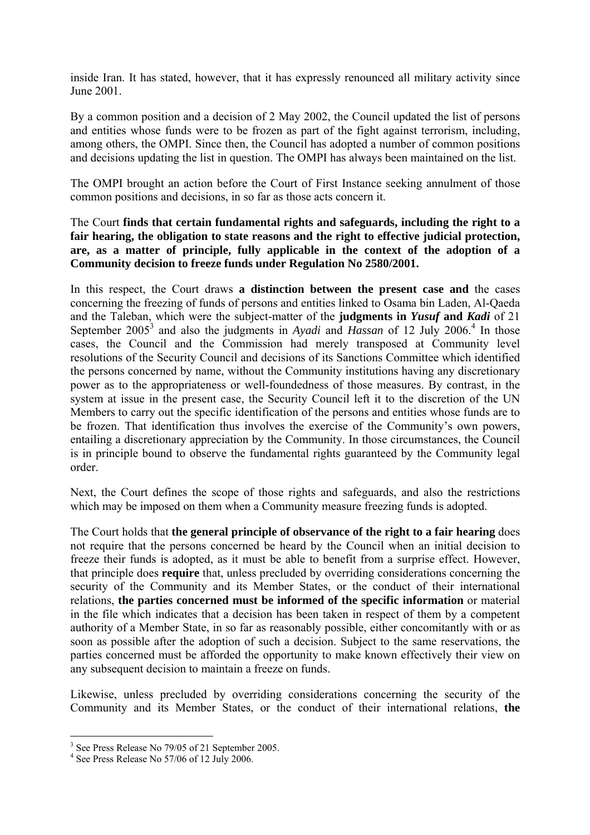inside Iran. It has stated, however, that it has expressly renounced all military activity since June 2001.

By a common position and a decision of 2 May 2002, the Council updated the list of persons and entities whose funds were to be frozen as part of the fight against terrorism, including, among others, the OMPI. Since then, the Council has adopted a number of common positions and decisions updating the list in question. The OMPI has always been maintained on the list.

The OMPI brought an action before the Court of First Instance seeking annulment of those common positions and decisions, in so far as those acts concern it.

The Court **finds that certain fundamental rights and safeguards, including the right to a fair hearing, the obligation to state reasons and the right to effective judicial protection, are, as a matter of principle, fully applicable in the context of the adoption of a Community decision to freeze funds under Regulation No 2580/2001.**

In this respect, the Court draws **a distinction between the present case and** the cases concerning the freezing of funds of persons and entities linked to Osama bin Laden, Al-Qaeda and the Taleban, which were the subject-matter of the **judgments in** *Yusuf* **and** *Kadi* of 21 September $2005^3$  $2005^3$  and also the judgments in *Ayadi* and *Hassan* of 12 July 2006.<sup>4</sup> In those cases, the Council and the Commission had merely transposed at Community level resolutions of the Security Council and decisions of its Sanctions Committee which identified the persons concerned by name, without the Community institutions having any discretionary power as to the appropriateness or well-foundedness of those measures. By contrast, in the system at issue in the present case, the Security Council left it to the discretion of the UN Members to carry out the specific identification of the persons and entities whose funds are to be frozen. That identification thus involves the exercise of the Community's own powers, entailing a discretionary appreciation by the Community. In those circumstances, the Council is in principle bound to observe the fundamental rights guaranteed by the Community legal order.

Next, the Court defines the scope of those rights and safeguards, and also the restrictions which may be imposed on them when a Community measure freezing funds is adopted.

The Court holds that **the general principle of observance of the right to a fair hearing** does not require that the persons concerned be heard by the Council when an initial decision to freeze their funds is adopted, as it must be able to benefit from a surprise effect. However, that principle does **require** that, unless precluded by overriding considerations concerning the security of the Community and its Member States, or the conduct of their international relations, **the parties concerned must be informed of the specific information** or material in the file which indicates that a decision has been taken in respect of them by a competent authority of a Member State, in so far as reasonably possible, either concomitantly with or as soon as possible after the adoption of such a decision. Subject to the same reservations, the parties concerned must be afforded the opportunity to make known effectively their view on any subsequent decision to maintain a freeze on funds.

Likewise, unless precluded by overriding considerations concerning the security of the Community and its Member States, or the conduct of their international relations, **the** 

 $\overline{a}$ 

<span id="page-1-0"></span><sup>&</sup>lt;sup>3</sup> See Press Release No 79/05 of 21 September 2005.

<span id="page-1-1"></span><sup>&</sup>lt;sup>4</sup> See Press Release No 57/06 of 12 July 2006.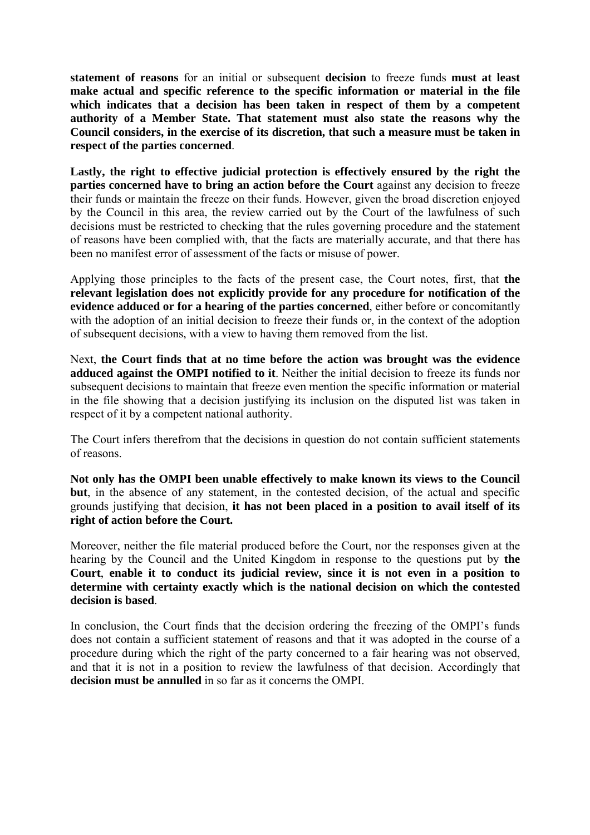**statement of reasons** for an initial or subsequent **decision** to freeze funds **must at least make actual and specific reference to the specific information or material in the file which indicates that a decision has been taken in respect of them by a competent authority of a Member State. That statement must also state the reasons why the Council considers, in the exercise of its discretion, that such a measure must be taken in respect of the parties concerned**.

**Lastly, the right to effective judicial protection is effectively ensured by the right the parties concerned have to bring an action before the Court** against any decision to freeze their funds or maintain the freeze on their funds. However, given the broad discretion enjoyed by the Council in this area, the review carried out by the Court of the lawfulness of such decisions must be restricted to checking that the rules governing procedure and the statement of reasons have been complied with, that the facts are materially accurate, and that there has been no manifest error of assessment of the facts or misuse of power.

Applying those principles to the facts of the present case, the Court notes, first, that **the relevant legislation does not explicitly provide for any procedure for notification of the evidence adduced or for a hearing of the parties concerned**, either before or concomitantly with the adoption of an initial decision to freeze their funds or, in the context of the adoption of subsequent decisions, with a view to having them removed from the list.

Next, **the Court finds that at no time before the action was brought was the evidence adduced against the OMPI notified to it**. Neither the initial decision to freeze its funds nor subsequent decisions to maintain that freeze even mention the specific information or material in the file showing that a decision justifying its inclusion on the disputed list was taken in respect of it by a competent national authority.

The Court infers therefrom that the decisions in question do not contain sufficient statements of reasons.

**Not only has the OMPI been unable effectively to make known its views to the Council but**, in the absence of any statement, in the contested decision, of the actual and specific grounds justifying that decision, **it has not been placed in a position to avail itself of its right of action before the Court.** 

Moreover, neither the file material produced before the Court, nor the responses given at the hearing by the Council and the United Kingdom in response to the questions put by **the Court**, **enable it to conduct its judicial review, since it is not even in a position to determine with certainty exactly which is the national decision on which the contested decision is based**.

In conclusion, the Court finds that the decision ordering the freezing of the OMPI's funds does not contain a sufficient statement of reasons and that it was adopted in the course of a procedure during which the right of the party concerned to a fair hearing was not observed, and that it is not in a position to review the lawfulness of that decision. Accordingly that **decision must be annulled** in so far as it concerns the OMPI.